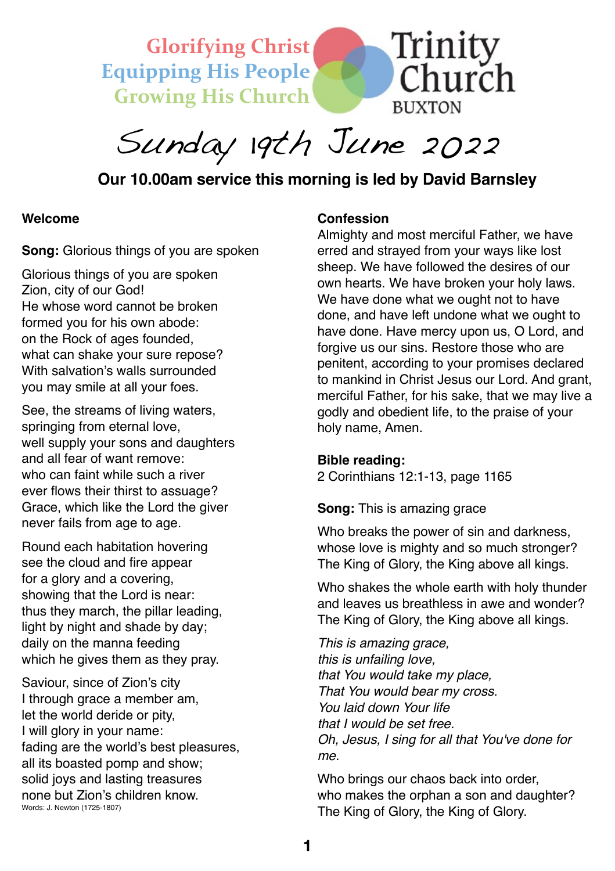Trinity **Glorifying Christ** Church **Equipping His People Growing His Church BIJXTON** 

Sunday 19th June 2022

# **Our 10.00am service this morning is led by David Barnsley**

#### **Welcome**

**Song:** Glorious things of you are spoken

Glorious things of you are spoken Zion, city of our God! He whose word cannot be broken formed you for his own abode: on the Rock of ages founded, what can shake your sure repose? With salvation's walls surrounded you may smile at all your foes.

See, the streams of living waters, springing from eternal love, well supply your sons and daughters and all fear of want remove: who can faint while such a river ever flows their thirst to assuage? Grace, which like the Lord the giver never fails from age to age.

Round each habitation hovering see the cloud and fire appear for a glory and a covering, showing that the Lord is near: thus they march, the pillar leading, light by night and shade by day: daily on the manna feeding which he gives them as they pray.

Saviour, since of Zion's city I through grace a member am, let the world deride or pity, I will glory in your name: fading are the world's best pleasures, all its boasted pomp and show; solid joys and lasting treasures none but Zion's children know. Words: J. Newton (1725-1807)

#### **Confession**

Almighty and most merciful Father, we have erred and strayed from your ways like lost sheep. We have followed the desires of our own hearts. We have broken your holy laws. We have done what we ought not to have done, and have left undone what we ought to have done. Have mercy upon us, O Lord, and forgive us our sins. Restore those who are penitent, according to your promises declared to mankind in Christ Jesus our Lord. And grant, merciful Father, for his sake, that we may live a godly and obedient life, to the praise of your holy name, Amen.

#### **Bible reading:**

2 Corinthians 12:1-13, page 1165

**Song:** This is amazing grace

Who breaks the power of sin and darkness, whose love is mighty and so much stronger? The King of Glory, the King above all kings.

Who shakes the whole earth with holy thunder and leaves us breathless in awe and wonder? The King of Glory, the King above all kings.

*This is amazing grace, this is unfailing love, that You would take my place, That You would bear my cross. You laid down Your life that I would be set free. Oh, Jesus, I sing for all that You've done for me.*

Who brings our chaos back into order, who makes the orphan a son and daughter? The King of Glory, the King of Glory.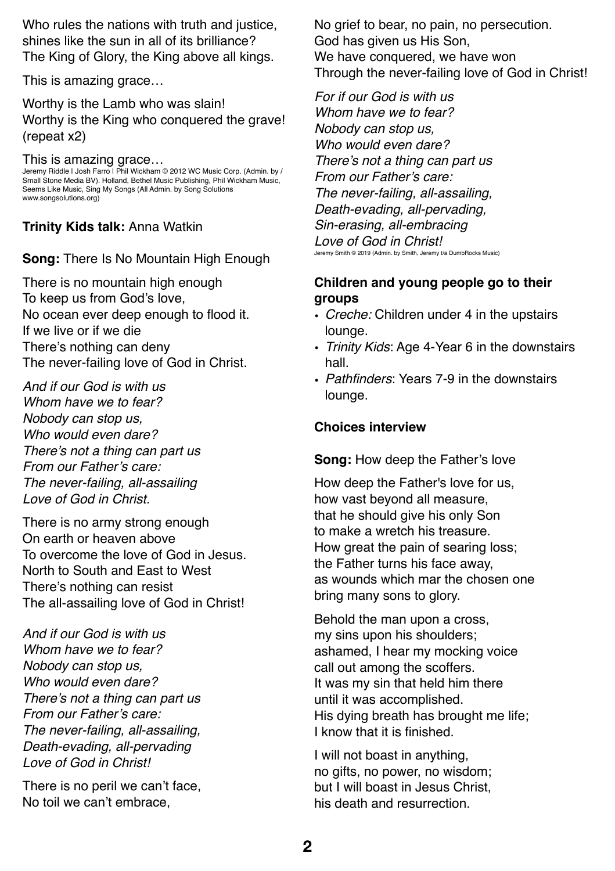Who rules the nations with truth and justice, shines like the sun in all of its brilliance? The King of Glory, the King above all kings.

This is amazing grace...

Worthy is the Lamb who was slain! Worthy is the King who conquered the grave! (repeat x2)

This is amazing grace… Jeremy Riddle | Josh Farro | Phil Wickham © 2012 WC Music Corp. (Admin. by / Small Stone Media BV). Holland, Bethel Music Publishing, Phil Wickham Music, Seems Like Music, Sing My Songs (All Admin. by Song Solutions www.songsolutions.org)

#### **Trinity Kids talk:** Anna Watkin

#### **Song:** There Is No Mountain High Enough

There is no mountain high enough To keep us from God's love, No ocean ever deep enough to flood it. If we live or if we die There's nothing can deny The never-failing love of God in Christ.

*And if our God is with us Whom have we to fear? Nobody can stop us, Who would even dare? There's not a thing can part us From our Father's care: The never-failing, all-assailing Love of God in Christ.*

There is no army strong enough On earth or heaven above To overcome the love of God in Jesus. North to South and East to West There's nothing can resist The all-assailing love of God in Christ!

*And if our God is with us Whom have we to fear? Nobody can stop us, Who would even dare? There's not a thing can part us From our Father's care: The never-failing, all-assailing, Death-evading, all-pervading Love of God in Christ!*

There is no peril we can't face, No toil we can't embrace,

No grief to bear, no pain, no persecution. God has given us His Son, We have conquered, we have won Through the never-failing love of God in Christ!

*For if our God is with us Whom have we to fear? Nobody can stop us, Who would even dare? There's not a thing can part us From our Father's care: The never-failing, all-assailing, Death-evading, all-pervading, Sin-erasing, all-embracing Love of God in Christ!* Jeremy Smith © 2019 (Admin. by Smith, Jeremy t/a DumbRocks Music)

#### **Children and young people go to their groups**

- **•** *Creche:* Children under 4 in the upstairs lounge.
- *Trinity Kids*: Age 4-Year 6 in the downstairs hall.
- *Pathfinders*: Years 7-9 in the downstairs lounge.

#### **Choices interview**

**Song:** How deep the Father's love

How deep the Father's love for us, how vast beyond all measure, that he should give his only Son to make a wretch his treasure. How great the pain of searing loss; the Father turns his face away, as wounds which mar the chosen one bring many sons to glory.

Behold the man upon a cross, my sins upon his shoulders; ashamed, I hear my mocking voice call out among the scoffers. It was my sin that held him there until it was accomplished. His dying breath has brought me life; I know that it is finished.

I will not boast in anything, no gifts, no power, no wisdom; but I will boast in Jesus Christ, his death and resurrection.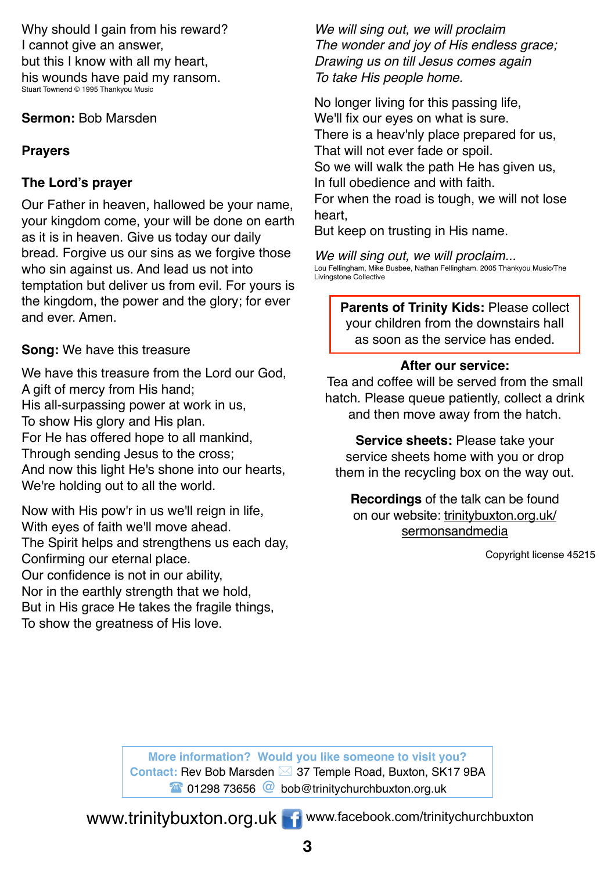Why should I gain from his reward? I cannot give an answer, but this I know with all my heart, his wounds have paid my ransom. Stuart Townend © 1995 Thankyou Music

**Sermon:** Bob Marsden

## **Prayers**

## **The Lord's prayer**

Our Father in heaven, hallowed be your name, your kingdom come, your will be done on earth as it is in heaven. Give us today our daily bread. Forgive us our sins as we forgive those who sin against us. And lead us not into temptation but deliver us from evil. For yours is the kingdom, the power and the glory; for ever and ever. Amen.

**Song:** We have this treasure

We have this treasure from the Lord our God. A gift of mercy from His hand; His all-surpassing power at work in us, To show His glory and His plan. For He has offered hope to all mankind, Through sending Jesus to the cross; And now this light He's shone into our hearts, We're holding out to all the world.

Now with His pow'r in us we'll reign in life, With eyes of faith we'll move ahead. The Spirit helps and strengthens us each day, Confirming our eternal place. Our confidence is not in our ability, Nor in the earthly strength that we hold, But in His grace He takes the fragile things, To show the greatness of His love.

*We will sing out, we will proclaim The wonder and joy of His endless grace; Drawing us on till Jesus comes again To take His people home.*

No longer living for this passing life, We'll fix our eyes on what is sure. There is a heav'nly place prepared for us, That will not ever fade or spoil. So we will walk the path He has given us, In full obedience and with faith. For when the road is tough, we will not lose heart,

But keep on trusting in His name.

*We will sing out, we will proclaim...* Lou Fellingham, Mike Busbee, Nathan Fellingham. 2005 Thankyou Music/The Livingstone Collective

> **Parents of Trinity Kids:** Please collect your children from the downstairs hall as soon as the service has ended.

#### **After our service:**

Tea and coffee will be served from the small hatch. Please queue patiently, collect a drink and then move away from the hatch.

**Service sheets:** Please take your service sheets home with you or drop them in the recycling box on the way out.

**Recordings** of the talk can be found on our website: [trinitybuxton.org.uk/](http://trinitybuxton.org.uk/sermonsandmedia) [sermonsandmedia](http://trinitybuxton.org.uk/sermonsandmedia)

Copyright license 45215

**More information? Would you like someone to visit you? Contact:** Rev Bob Marsden \* 37 Temple Road, Buxton, SK17 9BA <sup>1</sup>01298 73656 @ bob@trinitychurchbuxton.org.uk

www.trinitybuxton.org.uk www.facebook.com/trinitychurchbuxton